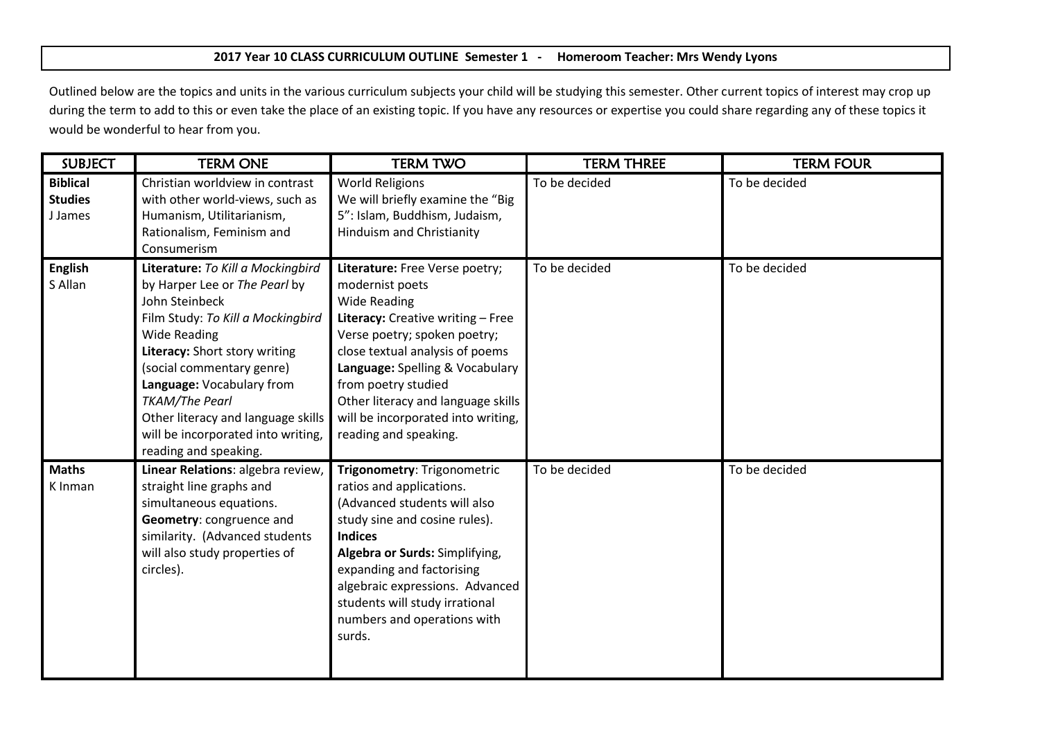## **2017 Year 10 CLASS CURRICULUM OUTLINE Semester 1 - Homeroom Teacher: Mrs Wendy Lyons**

Outlined below are the topics and units in the various curriculum subjects your child will be studying this semester. Other current topics of interest may crop up during the term to add to this or even take the place of an existing topic. If you have any resources or expertise you could share regarding any of these topics it would be wonderful to hear from you.

| <b>SUBJECT</b>                               | <b>TERM ONE</b>                                                                                                                                                                                                                                                                                                                                                           | <b>TERM TWO</b>                                                                                                                                                                                                                                                                                                                                 | <b>TERM THREE</b> | <b>TERM FOUR</b> |
|----------------------------------------------|---------------------------------------------------------------------------------------------------------------------------------------------------------------------------------------------------------------------------------------------------------------------------------------------------------------------------------------------------------------------------|-------------------------------------------------------------------------------------------------------------------------------------------------------------------------------------------------------------------------------------------------------------------------------------------------------------------------------------------------|-------------------|------------------|
| <b>Biblical</b><br><b>Studies</b><br>J James | Christian worldview in contrast<br>with other world-views, such as<br>Humanism, Utilitarianism,<br>Rationalism, Feminism and<br>Consumerism                                                                                                                                                                                                                               | <b>World Religions</b><br>We will briefly examine the "Big<br>5": Islam, Buddhism, Judaism,<br><b>Hinduism and Christianity</b>                                                                                                                                                                                                                 | To be decided     | To be decided    |
| <b>English</b><br>S Allan                    | Literature: To Kill a Mockingbird<br>by Harper Lee or The Pearl by<br>John Steinbeck<br>Film Study: To Kill a Mockingbird<br><b>Wide Reading</b><br>Literacy: Short story writing<br>(social commentary genre)<br>Language: Vocabulary from<br><b>TKAM/The Pearl</b><br>Other literacy and language skills<br>will be incorporated into writing,<br>reading and speaking. | Literature: Free Verse poetry;<br>modernist poets<br><b>Wide Reading</b><br>Literacy: Creative writing - Free<br>Verse poetry; spoken poetry;<br>close textual analysis of poems<br>Language: Spelling & Vocabulary<br>from poetry studied<br>Other literacy and language skills<br>will be incorporated into writing,<br>reading and speaking. | To be decided     | To be decided    |
| <b>Maths</b><br>K Inman                      | Linear Relations: algebra review,<br>straight line graphs and<br>simultaneous equations.<br>Geometry: congruence and<br>similarity. (Advanced students<br>will also study properties of<br>circles).                                                                                                                                                                      | Trigonometry: Trigonometric<br>ratios and applications.<br>(Advanced students will also<br>study sine and cosine rules).<br><b>Indices</b><br>Algebra or Surds: Simplifying,<br>expanding and factorising<br>algebraic expressions. Advanced<br>students will study irrational<br>numbers and operations with<br>surds.                         | To be decided     | To be decided    |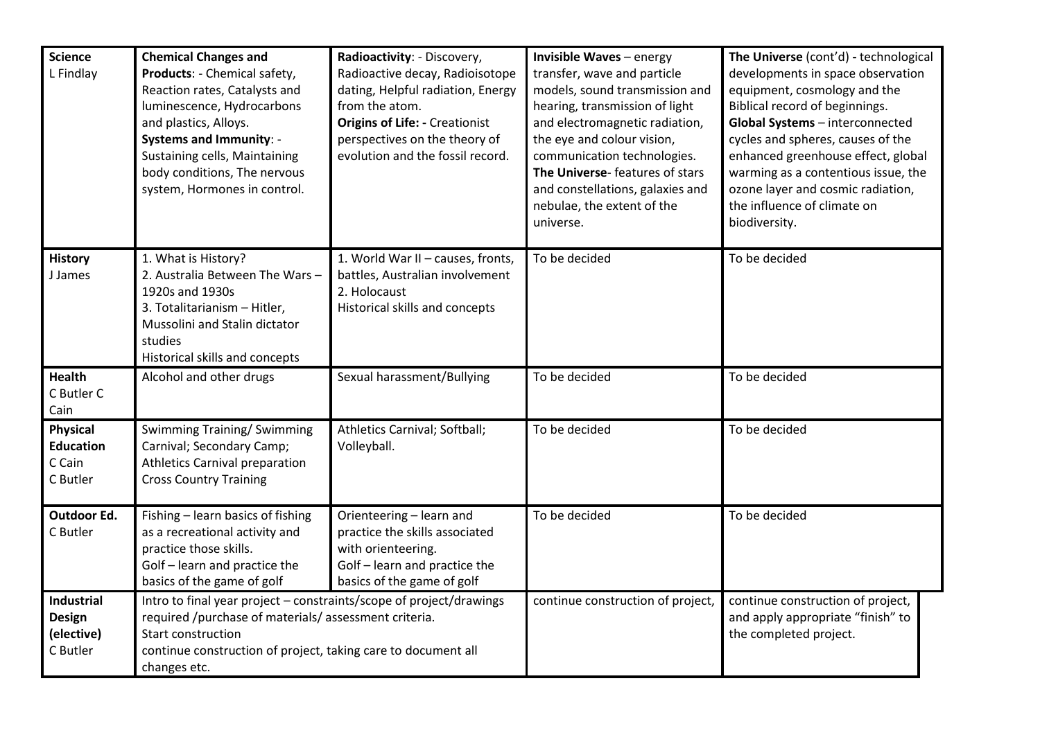| <b>Science</b><br>L Findlay                        | <b>Chemical Changes and</b><br>Products: - Chemical safety,<br>Reaction rates, Catalysts and<br>luminescence, Hydrocarbons<br>and plastics, Alloys.<br><b>Systems and Immunity: -</b><br>Sustaining cells, Maintaining<br>body conditions, The nervous<br>system, Hormones in control. | Radioactivity: - Discovery,<br>Radioactive decay, Radioisotope<br>dating, Helpful radiation, Energy<br>from the atom.<br><b>Origins of Life: - Creationist</b><br>perspectives on the theory of<br>evolution and the fossil record. | <b>Invisible Waves</b> - energy<br>transfer, wave and particle<br>models, sound transmission and<br>hearing, transmission of light<br>and electromagnetic radiation,<br>the eye and colour vision,<br>communication technologies.<br>The Universe-features of stars<br>and constellations, galaxies and<br>nebulae, the extent of the<br>universe. | The Universe (cont'd) - technological<br>developments in space observation<br>equipment, cosmology and the<br>Biblical record of beginnings.<br>Global Systems - interconnected<br>cycles and spheres, causes of the<br>enhanced greenhouse effect, global<br>warming as a contentious issue, the<br>ozone layer and cosmic radiation,<br>the influence of climate on<br>biodiversity. |
|----------------------------------------------------|----------------------------------------------------------------------------------------------------------------------------------------------------------------------------------------------------------------------------------------------------------------------------------------|-------------------------------------------------------------------------------------------------------------------------------------------------------------------------------------------------------------------------------------|----------------------------------------------------------------------------------------------------------------------------------------------------------------------------------------------------------------------------------------------------------------------------------------------------------------------------------------------------|----------------------------------------------------------------------------------------------------------------------------------------------------------------------------------------------------------------------------------------------------------------------------------------------------------------------------------------------------------------------------------------|
| <b>History</b><br>J James                          | 1. What is History?<br>2. Australia Between The Wars -<br>1920s and 1930s<br>3. Totalitarianism - Hitler,<br>Mussolini and Stalin dictator<br>studies<br>Historical skills and concepts                                                                                                | 1. World War II - causes, fronts,<br>battles, Australian involvement<br>2. Holocaust<br>Historical skills and concepts                                                                                                              | To be decided                                                                                                                                                                                                                                                                                                                                      | To be decided                                                                                                                                                                                                                                                                                                                                                                          |
| Health<br>C Butler C<br>Cain                       | Alcohol and other drugs                                                                                                                                                                                                                                                                | Sexual harassment/Bullying                                                                                                                                                                                                          | To be decided                                                                                                                                                                                                                                                                                                                                      | To be decided                                                                                                                                                                                                                                                                                                                                                                          |
| Physical<br><b>Education</b><br>C Cain<br>C Butler | <b>Swimming Training/ Swimming</b><br>Carnival; Secondary Camp;<br><b>Athletics Carnival preparation</b><br><b>Cross Country Training</b>                                                                                                                                              | Athletics Carnival; Softball;<br>Volleyball.                                                                                                                                                                                        | To be decided                                                                                                                                                                                                                                                                                                                                      | To be decided                                                                                                                                                                                                                                                                                                                                                                          |
| Outdoor Ed.<br>C Butler                            | Fishing - learn basics of fishing<br>as a recreational activity and<br>practice those skills.<br>Golf - learn and practice the<br>basics of the game of golf                                                                                                                           | Orienteering - learn and<br>practice the skills associated<br>with orienteering.<br>Golf - learn and practice the<br>basics of the game of golf                                                                                     | To be decided                                                                                                                                                                                                                                                                                                                                      | To be decided                                                                                                                                                                                                                                                                                                                                                                          |
| Industrial<br>Design<br>(elective)<br>C Butler     | Intro to final year project - constraints/scope of project/drawings<br>required /purchase of materials/ assessment criteria.<br>Start construction<br>continue construction of project, taking care to document all<br>changes etc.                                                    |                                                                                                                                                                                                                                     | continue construction of project,                                                                                                                                                                                                                                                                                                                  | continue construction of project,<br>and apply appropriate "finish" to<br>the completed project.                                                                                                                                                                                                                                                                                       |